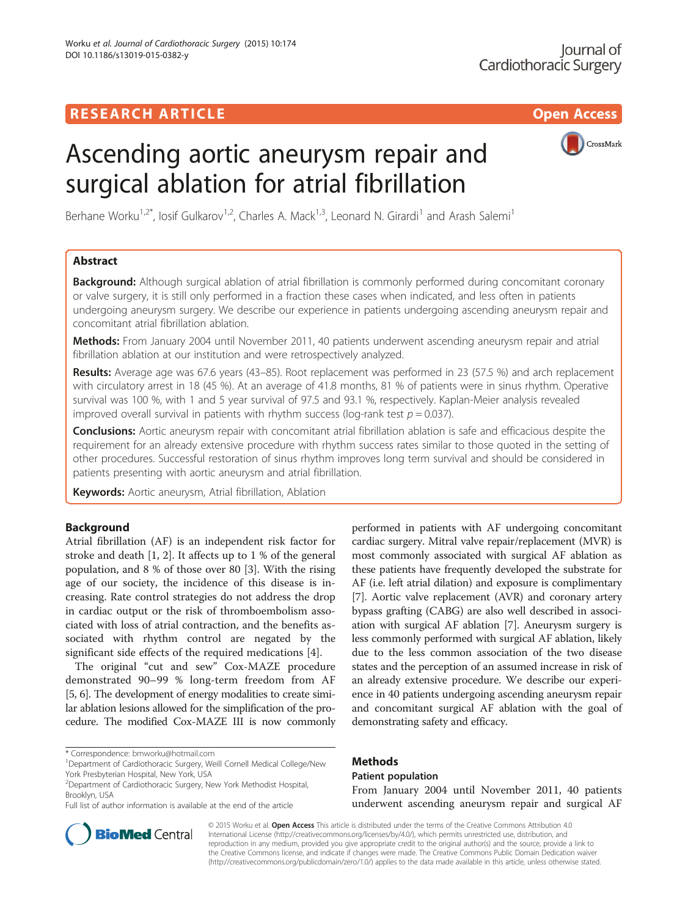CrossMark

# Ascending aortic aneurysm repair and surgical ablation for atrial fibrillation

Berhane Worku<sup>1,2\*</sup>, Iosif Gulkarov<sup>1,2</sup>, Charles A. Mack<sup>1,3</sup>, Leonard N. Girardi<sup>1</sup> and Arash Salemi<sup>1</sup>

# Abstract

Background: Although surgical ablation of atrial fibrillation is commonly performed during concomitant coronary or valve surgery, it is still only performed in a fraction these cases when indicated, and less often in patients undergoing aneurysm surgery. We describe our experience in patients undergoing ascending aneurysm repair and concomitant atrial fibrillation ablation.

Methods: From January 2004 until November 2011, 40 patients underwent ascending aneurysm repair and atrial fibrillation ablation at our institution and were retrospectively analyzed.

Results: Average age was 67.6 years (43–85). Root replacement was performed in 23 (57.5 %) and arch replacement with circulatory arrest in 18 (45 %). At an average of 41.8 months, 81 % of patients were in sinus rhythm. Operative survival was 100 %, with 1 and 5 year survival of 97.5 and 93.1 %, respectively. Kaplan-Meier analysis revealed improved overall survival in patients with rhythm success (log-rank test  $p = 0.037$ ).

**Conclusions:** Aortic aneurysm repair with concomitant atrial fibrillation ablation is safe and efficacious despite the requirement for an already extensive procedure with rhythm success rates similar to those quoted in the setting of other procedures. Successful restoration of sinus rhythm improves long term survival and should be considered in patients presenting with aortic aneurysm and atrial fibrillation.

Keywords: Aortic aneurysm, Atrial fibrillation, Ablation

# Background

Atrial fibrillation (AF) is an independent risk factor for stroke and death [\[1, 2\]](#page-4-0). It affects up to 1 % of the general population, and 8 % of those over 80 [[3\]](#page-4-0). With the rising age of our society, the incidence of this disease is increasing. Rate control strategies do not address the drop in cardiac output or the risk of thromboembolism associated with loss of atrial contraction, and the benefits associated with rhythm control are negated by the significant side effects of the required medications [[4\]](#page-4-0).

The original "cut and sew" Cox-MAZE procedure demonstrated 90–99 % long-term freedom from AF [[5](#page-4-0), [6\]](#page-4-0). The development of energy modalities to create similar ablation lesions allowed for the simplification of the procedure. The modified Cox-MAZE III is now commonly

\* Correspondence: [bmworku@hotmail.com](mailto:bmworku@hotmail.com) <sup>1</sup>

Full list of author information is available at the end of the article

performed in patients with AF undergoing concomitant cardiac surgery. Mitral valve repair/replacement (MVR) is most commonly associated with surgical AF ablation as these patients have frequently developed the substrate for AF (i.e. left atrial dilation) and exposure is complimentary [[7\]](#page-4-0). Aortic valve replacement (AVR) and coronary artery bypass grafting (CABG) are also well described in association with surgical AF ablation [[7\]](#page-4-0). Aneurysm surgery is less commonly performed with surgical AF ablation, likely due to the less common association of the two disease states and the perception of an assumed increase in risk of an already extensive procedure. We describe our experience in 40 patients undergoing ascending aneurysm repair and concomitant surgical AF ablation with the goal of demonstrating safety and efficacy.

# Patient population

From January 2004 until November 2011, 40 patients underwent ascending aneurysm repair and surgical AF



© 2015 Worku et al. Open Access This article is distributed under the terms of the Creative Commons Attribution 4.0 International License [\(http://creativecommons.org/licenses/by/4.0/](http://creativecommons.org/licenses/by/4.0/)), which permits unrestricted use, distribution, and reproduction in any medium, provided you give appropriate credit to the original author(s) and the source, provide a link to the Creative Commons license, and indicate if changes were made. The Creative Commons Public Domain Dedication waiver [\(http://creativecommons.org/publicdomain/zero/1.0/](http://creativecommons.org/publicdomain/zero/1.0/)) applies to the data made available in this article, unless otherwise stated.

<sup>&</sup>lt;sup>1</sup>Department of Cardiothoracic Surgery, Weill Cornell Medical College/New York Presbyterian Hospital, New York, USA

<sup>2</sup> Department of Cardiothoracic Surgery, New York Methodist Hospital, Brooklyn, USA

Methods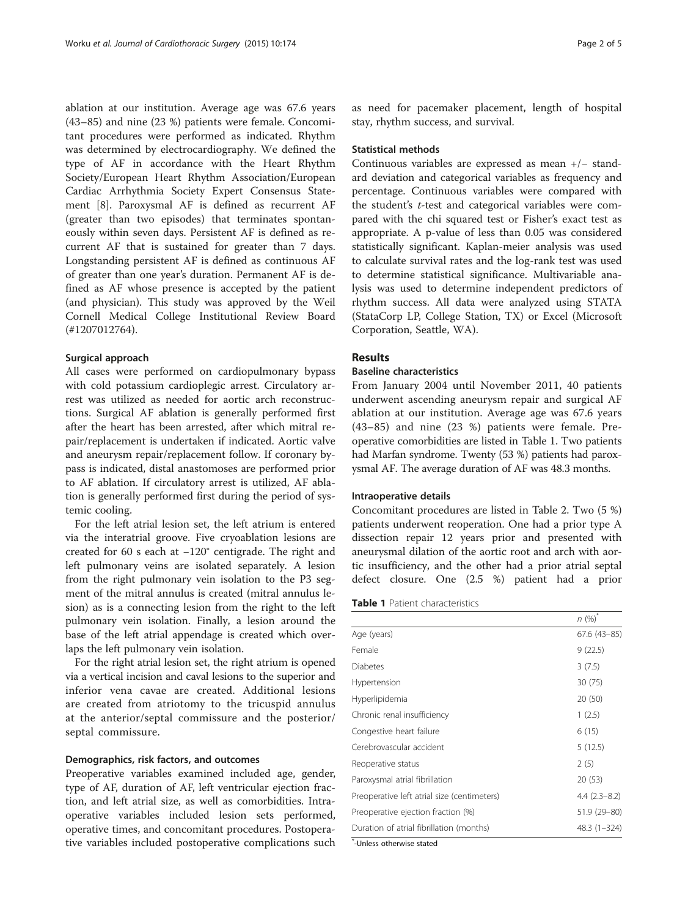ablation at our institution. Average age was 67.6 years (43–85) and nine (23 %) patients were female. Concomitant procedures were performed as indicated. Rhythm was determined by electrocardiography. We defined the type of AF in accordance with the Heart Rhythm Society/European Heart Rhythm Association/European Cardiac Arrhythmia Society Expert Consensus Statement [[8\]](#page-4-0). Paroxysmal AF is defined as recurrent AF (greater than two episodes) that terminates spontaneously within seven days. Persistent AF is defined as recurrent AF that is sustained for greater than 7 days. Longstanding persistent AF is defined as continuous AF of greater than one year's duration. Permanent AF is defined as AF whose presence is accepted by the patient (and physician). This study was approved by the Weil Cornell Medical College Institutional Review Board (#1207012764).

#### Surgical approach

All cases were performed on cardiopulmonary bypass with cold potassium cardioplegic arrest. Circulatory arrest was utilized as needed for aortic arch reconstructions. Surgical AF ablation is generally performed first after the heart has been arrested, after which mitral repair/replacement is undertaken if indicated. Aortic valve and aneurysm repair/replacement follow. If coronary bypass is indicated, distal anastomoses are performed prior to AF ablation. If circulatory arrest is utilized, AF ablation is generally performed first during the period of systemic cooling.

For the left atrial lesion set, the left atrium is entered via the interatrial groove. Five cryoablation lesions are created for 60 s each at −120° centigrade. The right and left pulmonary veins are isolated separately. A lesion from the right pulmonary vein isolation to the P3 segment of the mitral annulus is created (mitral annulus lesion) as is a connecting lesion from the right to the left pulmonary vein isolation. Finally, a lesion around the base of the left atrial appendage is created which overlaps the left pulmonary vein isolation.

For the right atrial lesion set, the right atrium is opened via a vertical incision and caval lesions to the superior and inferior vena cavae are created. Additional lesions are created from atriotomy to the tricuspid annulus at the anterior/septal commissure and the posterior/ septal commissure.

#### Demographics, risk factors, and outcomes

Preoperative variables examined included age, gender, type of AF, duration of AF, left ventricular ejection fraction, and left atrial size, as well as comorbidities. Intraoperative variables included lesion sets performed, operative times, and concomitant procedures. Postoperative variables included postoperative complications such as need for pacemaker placement, length of hospital stay, rhythm success, and survival.

# Statistical methods

Continuous variables are expressed as mean +/− standard deviation and categorical variables as frequency and percentage. Continuous variables were compared with the student's t-test and categorical variables were compared with the chi squared test or Fisher's exact test as appropriate. A p-value of less than 0.05 was considered statistically significant. Kaplan-meier analysis was used to calculate survival rates and the log-rank test was used to determine statistical significance. Multivariable analysis was used to determine independent predictors of rhythm success. All data were analyzed using STATA (StataCorp LP, College Station, TX) or Excel (Microsoft Corporation, Seattle, WA).

# Results

# Baseline characteristics

From January 2004 until November 2011, 40 patients underwent ascending aneurysm repair and surgical AF ablation at our institution. Average age was 67.6 years (43–85) and nine (23 %) patients were female. Preoperative comorbidities are listed in Table 1. Two patients had Marfan syndrome. Twenty (53 %) patients had paroxysmal AF. The average duration of AF was 48.3 months.

# Intraoperative details

Concomitant procedures are listed in Table [2.](#page-2-0) Two (5 %) patients underwent reoperation. One had a prior type A dissection repair 12 years prior and presented with aneurysmal dilation of the aortic root and arch with aortic insufficiency, and the other had a prior atrial septal defect closure. One (2.5 %) patient had a prior

|                                             | $n(\%)$         |
|---------------------------------------------|-----------------|
| Age (years)                                 | $67.6(43-85)$   |
| Female                                      | 9(22.5)         |
| Diabetes                                    | 3(7.5)          |
| Hypertension                                | 30 (75)         |
| Hyperlipidemia                              | 20 (50)         |
| Chronic renal insufficiency                 | 1(2.5)          |
| Congestive heart failure                    | 6(15)           |
| Cerebrovascular accident                    | 5(12.5)         |
| Reoperative status                          | 2(5)            |
| Paroxysmal atrial fibrillation              | 20 (53)         |
| Preoperative left atrial size (centimeters) | $4.4(2.3-8.2)$  |
| Preoperative ejection fraction (%)          | 51.9 (29-80)    |
| Duration of atrial fibrillation (months)    | $48.3(1 - 324)$ |

\* -Unless otherwise stated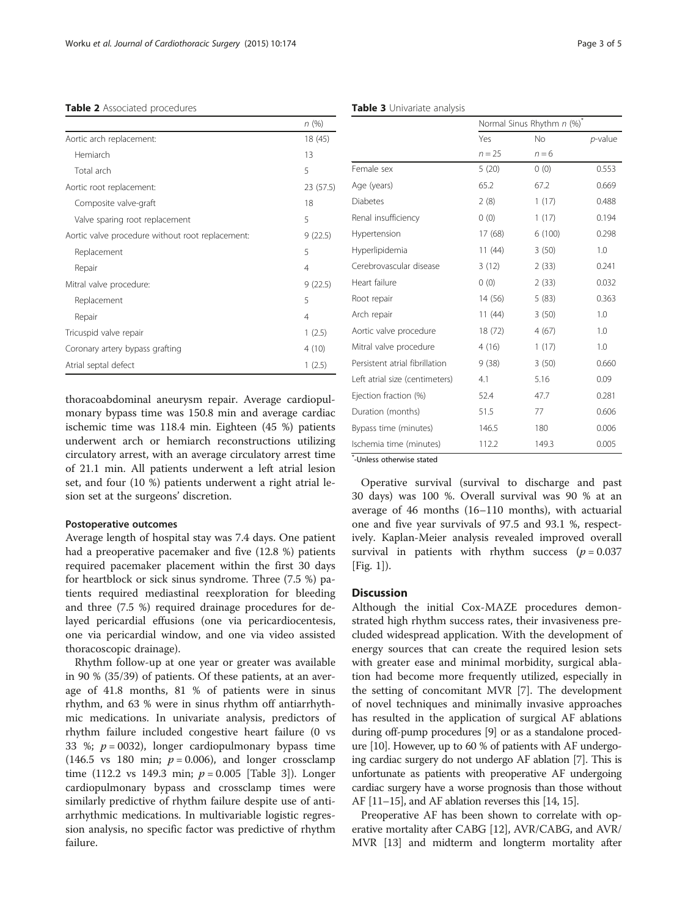#### <span id="page-2-0"></span>Table 2 Associated procedures

|                                                  | n(%)      |
|--------------------------------------------------|-----------|
| Aortic arch replacement:                         | 18 (45)   |
| Hemiarch                                         | 13        |
| Total arch                                       | 5         |
| Aortic root replacement:                         | 23 (57.5) |
| Composite valve-graft                            | 18        |
| Valve sparing root replacement                   | 5         |
| Aortic valve procedure without root replacement: | 9(22.5)   |
| Replacement                                      | 5         |
| Repair                                           | 4         |
| Mitral valve procedure:                          | 9(22.5)   |
| Replacement                                      | 5         |
| Repair                                           | 4         |
| Tricuspid valve repair                           | 1(2.5)    |
| Coronary artery bypass grafting                  | 4(10)     |
| Atrial septal defect                             | 1(2.5)    |

thoracoabdominal aneurysm repair. Average cardiopulmonary bypass time was 150.8 min and average cardiac ischemic time was 118.4 min. Eighteen (45 %) patients underwent arch or hemiarch reconstructions utilizing circulatory arrest, with an average circulatory arrest time of 21.1 min. All patients underwent a left atrial lesion set, and four (10 %) patients underwent a right atrial lesion set at the surgeons' discretion.

#### Postoperative outcomes

Average length of hospital stay was 7.4 days. One patient had a preoperative pacemaker and five (12.8 %) patients required pacemaker placement within the first 30 days for heartblock or sick sinus syndrome. Three (7.5 %) patients required mediastinal reexploration for bleeding and three (7.5 %) required drainage procedures for delayed pericardial effusions (one via pericardiocentesis, one via pericardial window, and one via video assisted thoracoscopic drainage).

Rhythm follow-up at one year or greater was available in 90 % (35/39) of patients. Of these patients, at an average of 41.8 months, 81 % of patients were in sinus rhythm, and 63 % were in sinus rhythm off antiarrhythmic medications. In univariate analysis, predictors of rhythm failure included congestive heart failure (0 vs 33 %;  $p = 0032$ ), longer cardiopulmonary bypass time (146.5 vs 180 min;  $p = 0.006$ ), and longer crossclamp time (112.2 vs 149.3 min;  $p = 0.005$  [Table 3]). Longer cardiopulmonary bypass and crossclamp times were similarly predictive of rhythm failure despite use of antiarrhythmic medications. In multivariable logistic regression analysis, no specific factor was predictive of rhythm failure.

|                                | Normal Sinus Rhythm n (%) <sup>*</sup> |           |            |
|--------------------------------|----------------------------------------|-----------|------------|
|                                | Yes                                    | <b>No</b> | $p$ -value |
|                                | $n = 25$                               | $n = 6$   |            |
| Female sex                     | 5(20)                                  | 0(0)      | 0.553      |
| Age (years)                    | 65.2                                   | 67.2      | 0.669      |
| Diabetes                       | 2(8)                                   | 1(17)     | 0.488      |
| Renal insufficiency            | 0(0)                                   | 1(17)     | 0.194      |
| Hypertension                   | 17(68)                                 | 6(100)    | 0.298      |
| Hyperlipidemia                 | 11(44)                                 | 3(50)     | 1.0        |
| Cerebrovascular disease        | 3(12)                                  | 2(33)     | 0.241      |
| Heart failure                  | 0(0)                                   | 2(33)     | 0.032      |
| Root repair                    | 14 (56)                                | 5(83)     | 0.363      |
| Arch repair                    | 11(44)                                 | 3(50)     | 1.0        |
| Aortic valve procedure         | 18 (72)                                | 4(67)     | 1.0        |
| Mitral valve procedure         | 4(16)                                  | 1(17)     | 1.0        |
| Persistent atrial fibrillation | 9(38)                                  | 3(50)     | 0.660      |
| Left atrial size (centimeters) | 4.1                                    | 5.16      | 0.09       |
| Ejection fraction (%)          | 52.4                                   | 47.7      | 0.281      |
| Duration (months)              | 51.5                                   | 77        | 0.606      |
| Bypass time (minutes)          | 146.5                                  | 180       | 0.006      |
| Ischemia time (minutes)        | 112.2                                  | 149.3     | 0.005      |

\* -Unless otherwise stated

Operative survival (survival to discharge and past 30 days) was 100 %. Overall survival was 90 % at an average of 46 months (16–110 months), with actuarial one and five year survivals of 97.5 and 93.1 %, respectively. Kaplan-Meier analysis revealed improved overall survival in patients with rhythm success  $(p = 0.037)$ [Fig. [1](#page-3-0)]).

# **Discussion**

Although the initial Cox-MAZE procedures demonstrated high rhythm success rates, their invasiveness precluded widespread application. With the development of energy sources that can create the required lesion sets with greater ease and minimal morbidity, surgical ablation had become more frequently utilized, especially in the setting of concomitant MVR [[7\]](#page-4-0). The development of novel techniques and minimally invasive approaches has resulted in the application of surgical AF ablations during off-pump procedures [[9](#page-4-0)] or as a standalone procedure [\[10\]](#page-4-0). However, up to 60 % of patients with AF undergoing cardiac surgery do not undergo AF ablation [\[7\]](#page-4-0). This is unfortunate as patients with preoperative AF undergoing cardiac surgery have a worse prognosis than those without AF [\[11](#page-4-0)–[15\]](#page-4-0), and AF ablation reverses this [\[14](#page-4-0), [15](#page-4-0)].

Preoperative AF has been shown to correlate with operative mortality after CABG [\[12\]](#page-4-0), AVR/CABG, and AVR/ MVR [\[13\]](#page-4-0) and midterm and longterm mortality after

#### Table 3 Univariate analysis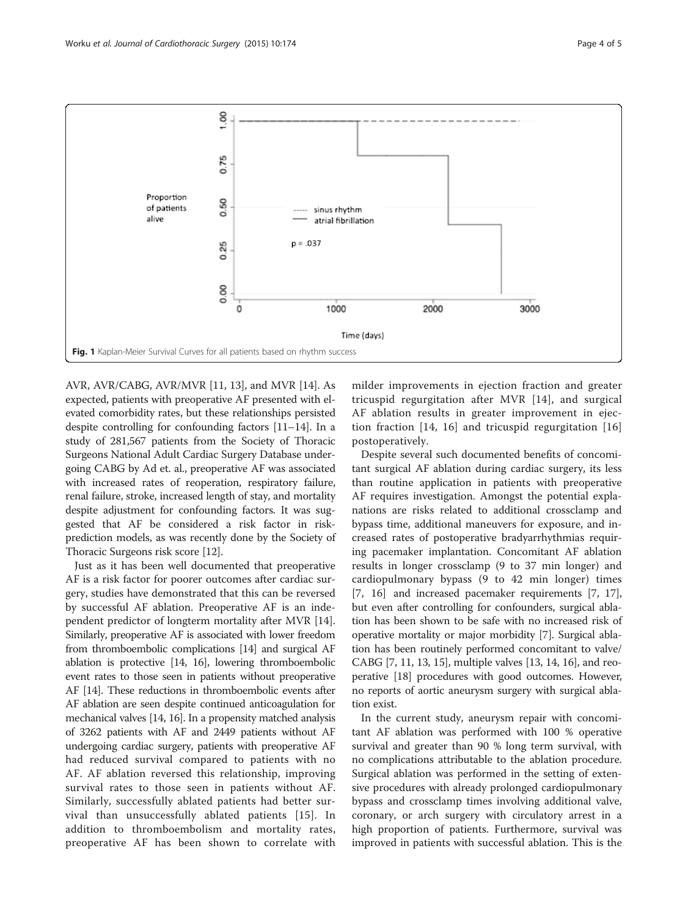<span id="page-3-0"></span>

AVR, AVR/CABG, AVR/MVR [\[11](#page-4-0), [13\]](#page-4-0), and MVR [\[14\]](#page-4-0). As expected, patients with preoperative AF presented with elevated comorbidity rates, but these relationships persisted despite controlling for confounding factors [[11](#page-4-0)–[14\]](#page-4-0). In a study of 281,567 patients from the Society of Thoracic Surgeons National Adult Cardiac Surgery Database undergoing CABG by Ad et. al., preoperative AF was associated with increased rates of reoperation, respiratory failure, renal failure, stroke, increased length of stay, and mortality despite adjustment for confounding factors. It was suggested that AF be considered a risk factor in riskprediction models, as was recently done by the Society of Thoracic Surgeons risk score [\[12\]](#page-4-0).

Just as it has been well documented that preoperative AF is a risk factor for poorer outcomes after cardiac surgery, studies have demonstrated that this can be reversed by successful AF ablation. Preoperative AF is an independent predictor of longterm mortality after MVR [\[14](#page-4-0)]. Similarly, preoperative AF is associated with lower freedom from thromboembolic complications [\[14\]](#page-4-0) and surgical AF ablation is protective [[14](#page-4-0), [16](#page-4-0)], lowering thromboembolic event rates to those seen in patients without preoperative AF [\[14](#page-4-0)]. These reductions in thromboembolic events after AF ablation are seen despite continued anticoagulation for mechanical valves [\[14, 16](#page-4-0)]. In a propensity matched analysis of 3262 patients with AF and 2449 patients without AF undergoing cardiac surgery, patients with preoperative AF had reduced survival compared to patients with no AF. AF ablation reversed this relationship, improving survival rates to those seen in patients without AF. Similarly, successfully ablated patients had better survival than unsuccessfully ablated patients [[15\]](#page-4-0). In addition to thromboembolism and mortality rates, preoperative AF has been shown to correlate with

milder improvements in ejection fraction and greater tricuspid regurgitation after MVR [[14](#page-4-0)], and surgical AF ablation results in greater improvement in ejection fraction [[14, 16](#page-4-0)] and tricuspid regurgitation [\[16](#page-4-0)] postoperatively.

Despite several such documented benefits of concomitant surgical AF ablation during cardiac surgery, its less than routine application in patients with preoperative AF requires investigation. Amongst the potential explanations are risks related to additional crossclamp and bypass time, additional maneuvers for exposure, and increased rates of postoperative bradyarrhythmias requiring pacemaker implantation. Concomitant AF ablation results in longer crossclamp (9 to 37 min longer) and cardiopulmonary bypass (9 to 42 min longer) times [[7, 16](#page-4-0)] and increased pacemaker requirements [\[7, 17](#page-4-0)], but even after controlling for confounders, surgical ablation has been shown to be safe with no increased risk of operative mortality or major morbidity [[7\]](#page-4-0). Surgical ablation has been routinely performed concomitant to valve/ CABG [\[7, 11](#page-4-0), [13, 15](#page-4-0)], multiple valves [\[13, 14](#page-4-0), [16\]](#page-4-0), and reoperative [[18](#page-4-0)] procedures with good outcomes. However, no reports of aortic aneurysm surgery with surgical ablation exist.

In the current study, aneurysm repair with concomitant AF ablation was performed with 100 % operative survival and greater than 90 % long term survival, with no complications attributable to the ablation procedure. Surgical ablation was performed in the setting of extensive procedures with already prolonged cardiopulmonary bypass and crossclamp times involving additional valve, coronary, or arch surgery with circulatory arrest in a high proportion of patients. Furthermore, survival was improved in patients with successful ablation. This is the